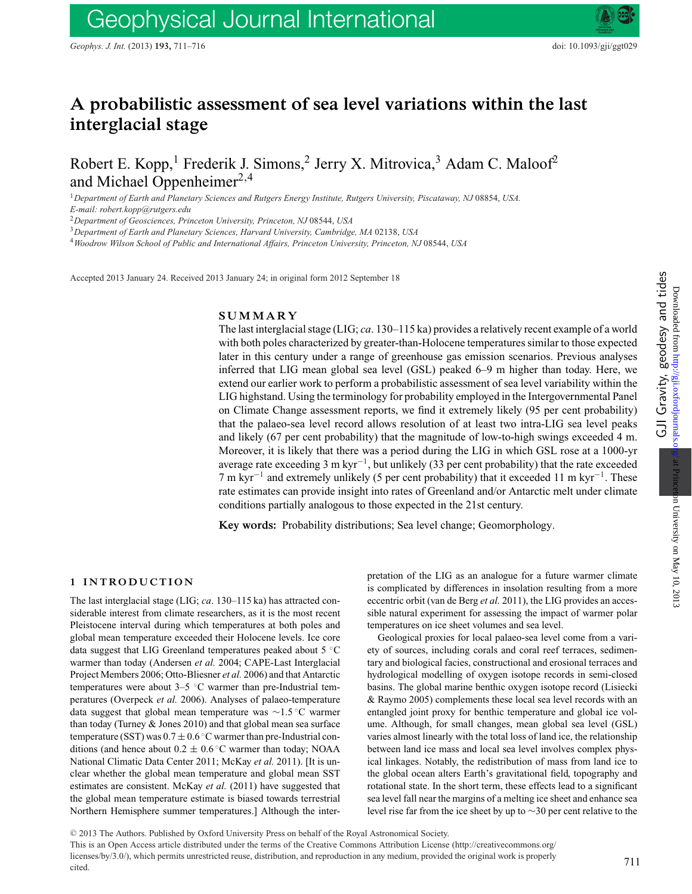# **A probabilistic assessment of sea level variations within the last interglacial stage**

Robert E. Kopp,<sup>1</sup> Frederik J. Simons,<sup>2</sup> Jerry X. Mitrovica,<sup>3</sup> Adam C. Maloof<sup>2</sup> and Michael Oppenheimer $^{2,4}$ 

<sup>1</sup>*Department of Earth and Planetary Sciences and Rutgers Energy Institute, Rutgers University, Piscataway, NJ* 08854, *USA.*

*E-mail: robert.kopp@rutgers.edu*

<sup>2</sup>*Department of Geosciences, Princeton University, Princeton, NJ* 08544, *USA*

<sup>3</sup>*Department of Earth and Planetary Sciences, Harvard University, Cambridge, MA* 02138, *USA*

<sup>4</sup>*Woodrow Wilson School of Public and International Affairs, Princeton University, Princeton, NJ* 08544, *USA*

Accepted 2013 January 24. Received 2013 January 24; in original form 2012 September 18

## **SUMMARY**

The last interglacial stage (LIG; *ca*. 130–115 ka) provides a relatively recent example of a world with both poles characterized by greater-than-Holocene temperatures similar to those expected later in this century under a range of greenhouse gas emission scenarios. Previous analyses inferred that LIG mean global sea level (GSL) peaked 6–9 m higher than today. Here, we extend our earlier work to perform a probabilistic assessment of sea level variability within the LIG highstand. Using the terminology for probability employed in the Intergovernmental Panel on Climate Change assessment reports, we find it extremely likely (95 per cent probability) that the palaeo-sea level record allows resolution of at least two intra-LIG sea level peaks and likely (67 per cent probability) that the magnitude of low-to-high swings exceeded 4 m. Moreover, it is likely that there was a period during the LIG in which GSL rose at a 1000-yr average rate exceeding 3 m kyr<sup>-1</sup>, but unlikely (33 per cent probability) that the rate exceeded 7 m kyr−<sup>1</sup> and extremely unlikely (5 per cent probability) that it exceeded 11 m kyr−1. These rate estimates can provide insight into rates of Greenland and/or Antarctic melt under climate conditions partially analogous to those expected in the 21st century.

**Key words:** Probability distributions; Sea level change; Geomorphology.

### **1 INTRODUCTION**

The last interglacial stage (LIG; *ca*. 130–115 ka) has attracted considerable interest from climate researchers, as it is the most recent Pleistocene interval during which temperatures at both poles and global mean temperature exceeded their Holocene levels. Ice core data suggest that LIG Greenland temperatures peaked about 5 ◦C warmer than today (Andersen *et al.* 2004; CAPE-Last Interglacial Project Members 2006; Otto-Bliesner *et al.* 2006) and that Antarctic temperatures were about 3–5 ◦C warmer than pre-Industrial temperatures (Overpeck *et al.* 2006). Analyses of palaeo-temperature data suggest that global mean temperature was ∼1.5 ◦C warmer than today (Turney & Jones 2010) and that global mean sea surface temperature (SST) was  $0.7 \pm 0.6$  °C warmer than pre-Industrial conditions (and hence about  $0.2 \pm 0.6$  °C warmer than today; NOAA National Climatic Data Center 2011; McKay *et al.* 2011). [It is unclear whether the global mean temperature and global mean SST estimates are consistent. McKay *et al.* (2011) have suggested that the global mean temperature estimate is biased towards terrestrial Northern Hemisphere summer temperatures.] Although the interpretation of the LIG as an analogue for a future warmer climate is complicated by differences in insolation resulting from a more eccentric orbit (van de Berg *et al.* 2011), the LIG provides an accessible natural experiment for assessing the impact of warmer polar temperatures on ice sheet volumes and sea level.

Geological proxies for local palaeo-sea level come from a variety of sources, including corals and coral reef terraces, sedimentary and biological facies, constructional and erosional terraces and hydrological modelling of oxygen isotope records in semi-closed basins. The global marine benthic oxygen isotope record (Lisiecki & Raymo 2005) complements these local sea level records with an entangled joint proxy for benthic temperature and global ice volume. Although, for small changes, mean global sea level (GSL) varies almost linearly with the total loss of land ice, the relationship between land ice mass and local sea level involves complex physical linkages. Notably, the redistribution of mass from land ice to the global ocean alters Earth's gravitational field, topography and rotational state. In the short term, these effects lead to a significant sea level fall near the margins of a melting ice sheet and enhance sea level rise far from the ice sheet by up to ∼30 per cent relative to the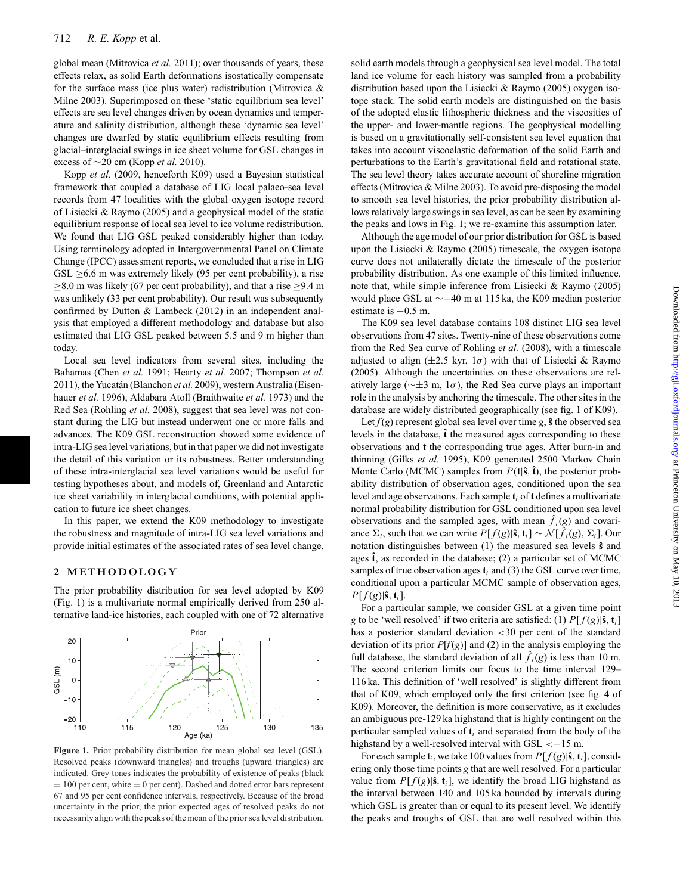global mean (Mitrovica *et al.* 2011); over thousands of years, these effects relax, as solid Earth deformations isostatically compensate for the surface mass (ice plus water) redistribution (Mitrovica & Milne 2003). Superimposed on these 'static equilibrium sea level' effects are sea level changes driven by ocean dynamics and temperature and salinity distribution, although these 'dynamic sea level' changes are dwarfed by static equilibrium effects resulting from glacial–interglacial swings in ice sheet volume for GSL changes in excess of ∼20 cm (Kopp *et al.* 2010).

Kopp *et al.* (2009, henceforth K09) used a Bayesian statistical framework that coupled a database of LIG local palaeo-sea level records from 47 localities with the global oxygen isotope record of Lisiecki & Raymo (2005) and a geophysical model of the static equilibrium response of local sea level to ice volume redistribution. We found that LIG GSL peaked considerably higher than today. Using terminology adopted in Intergovernmental Panel on Climate Change (IPCC) assessment reports, we concluded that a rise in LIG  $GSL \geq 6.6$  m was extremely likely (95 per cent probability), a rise ≥8.0 m was likely (67 per cent probability), and that a rise ≥9.4 m was unlikely (33 per cent probability). Our result was subsequently confirmed by Dutton & Lambeck (2012) in an independent analysis that employed a different methodology and database but also estimated that LIG GSL peaked between 5.5 and 9 m higher than today.

Local sea level indicators from several sites, including the Bahamas (Chen *et al.* 1991; Hearty *et al.* 2007; Thompson *et al.* 2011), the Yucatán (Blanchon et al. 2009), western Australia (Eisenhauer *et al.* 1996), Aldabara Atoll (Braithwaite *et al.* 1973) and the Red Sea (Rohling *et al.* 2008), suggest that sea level was not constant during the LIG but instead underwent one or more falls and advances. The K09 GSL reconstruction showed some evidence of intra-LIG sea level variations, but in that paper we did not investigate the detail of this variation or its robustness. Better understanding of these intra-interglacial sea level variations would be useful for testing hypotheses about, and models of, Greenland and Antarctic ice sheet variability in interglacial conditions, with potential application to future ice sheet changes.

In this paper, we extend the K09 methodology to investigate the robustness and magnitude of intra-LIG sea level variations and provide initial estimates of the associated rates of sea level change.

#### **2 METHODOLOGY**

The prior probability distribution for sea level adopted by K09 (Fig. 1) is a multivariate normal empirically derived from 250 alternative land-ice histories, each coupled with one of 72 alternative



Figure 1. Prior probability distribution for mean global sea level (GSL). Resolved peaks (downward triangles) and troughs (upward triangles) are indicated. Grey tones indicates the probability of existence of peaks (black  $= 100$  per cent, white  $= 0$  per cent). Dashed and dotted error bars represent 67 and 95 per cent confidence intervals, respectively. Because of the broad uncertainty in the prior, the prior expected ages of resolved peaks do not necessarily align with the peaks of the mean of the prior sea level distribution.

solid earth models through a geophysical sea level model. The total land ice volume for each history was sampled from a probability distribution based upon the Lisiecki & Raymo (2005) oxygen isotope stack. The solid earth models are distinguished on the basis of the adopted elastic lithospheric thickness and the viscosities of the upper- and lower-mantle regions. The geophysical modelling is based on a gravitationally self-consistent sea level equation that takes into account viscoelastic deformation of the solid Earth and perturbations to the Earth's gravitational field and rotational state. The sea level theory takes accurate account of shoreline migration effects (Mitrovica & Milne 2003). To avoid pre-disposing the model to smooth sea level histories, the prior probability distribution allows relatively large swings in sea level, as can be seen by examining the peaks and lows in Fig. 1; we re-examine this assumption later.

Although the age model of our prior distribution for GSL is based upon the Lisiecki & Raymo (2005) timescale, the oxygen isotope curve does not unilaterally dictate the timescale of the posterior probability distribution. As one example of this limited influence, note that, while simple inference from Lisiecki & Raymo (2005) would place GSL at ∼−40 m at 115 ka, the K09 median posterior estimate is −0.5 m.

The K09 sea level database contains 108 distinct LIG sea level observations from 47 sites. Twenty-nine of these observations come from the Red Sea curve of Rohling *et al.* (2008), with a timescale adjusted to align ( $\pm 2.5$  kyr,  $1\sigma$ ) with that of Lisiecki & Raymo (2005). Although the uncertainties on these observations are relatively large ( $\sim \pm 3$  m, 1 $\sigma$ ), the Red Sea curve plays an important role in the analysis by anchoring the timescale. The other sites in the database are widely distributed geographically (see fig. 1 of K09).

Let  $f(g)$  represent global sea level over time  $g$ ,  $\hat{\mathbf{s}}$  the observed sea levels in the database,  $\hat{\mathbf{t}}$  the measured ages corresponding to these observations and **t** the corresponding true ages. After burn-in and thinning (Gilks *et al.* 1995), K09 generated 2500 Markov Chain Monte Carlo (MCMC) samples from  $P(t|\hat{s}, \hat{t})$ , the posterior probability distribution of observation ages, conditioned upon the sea level and age observations. Each sample **t***<sup>i</sup>* of **t** defines a multivariate normal probability distribution for GSL conditioned upon sea level observations and the sampled ages, with mean  $\hat{f}_i(g)$  and covariance  $\Sigma_i$ , such that we can write  $P[f(g)|\hat{\mathbf{s}}, \mathbf{t}_i] \sim \mathcal{N}[\hat{f}_i(g), \Sigma_i]$ . Our notation distinguishes between (1) the measured sea levels **ˆs** and ages  $\hat{\mathbf{t}}$ , as recorded in the database; (2) a particular set of MCMC samples of true observation ages**t***<sup>i</sup>* and (3) the GSL curve over time, conditional upon a particular MCMC sample of observation ages,  $P[f(g)|\hat{\bf{s}}, {\bf{t}}_i].$ 

For a particular sample, we consider GSL at a given time point *g* to be 'well resolved' if two criteria are satisfied: (1)  $P[f(g)|\hat{\mathbf{s}}, \mathbf{t}_i]$ has a posterior standard deviation <30 per cent of the standard deviation of its prior *P*[*f* (*g*)] and (2) in the analysis employing the full database, the standard deviation of all  $\hat{f}_i(g)$  is less than 10 m. The second criterion limits our focus to the time interval 129– 116 ka. This definition of 'well resolved' is slightly different from that of K09, which employed only the first criterion (see fig. 4 of K09). Moreover, the definition is more conservative, as it excludes an ambiguous pre-129 ka highstand that is highly contingent on the particular sampled values of **t***<sup>i</sup>* and separated from the body of the highstand by a well-resolved interval with  $GSL < -15$  m.

For each sample  $\mathbf{t}_i$ , we take 100 values from  $P[f(g)|\hat{\mathbf{s}}, \mathbf{t}_i]$ , considering only those time points *g* that are well resolved. For a particular value from  $P[f(g)|\hat{\mathbf{s}}, \mathbf{t}_i]$ , we identify the broad LIG highstand as the interval between 140 and 105 ka bounded by intervals during which GSL is greater than or equal to its present level. We identify the peaks and troughs of GSL that are well resolved within this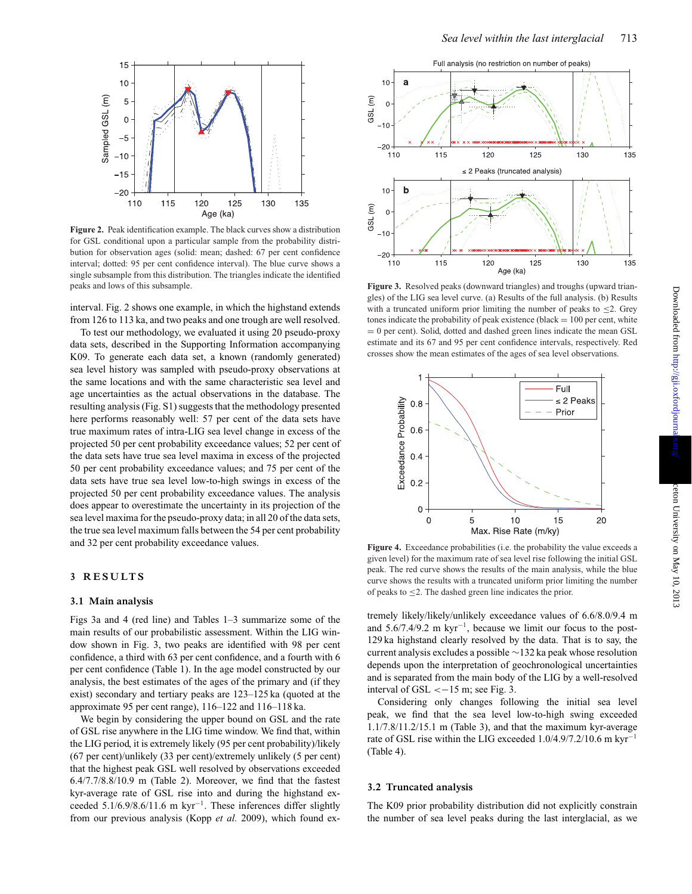

**Figure 2.** Peak identification example. The black curves show a distribution for GSL conditional upon a particular sample from the probability distribution for observation ages (solid: mean; dashed: 67 per cent confidence interval; dotted: 95 per cent confidence interval). The blue curve shows a single subsample from this distribution. The triangles indicate the identified peaks and lows of this subsample.

interval. Fig. 2 shows one example, in which the highstand extends from 126 to 113 ka, and two peaks and one trough are well resolved.

To test our methodology, we evaluated it using 20 pseudo-proxy data sets, described in the Supporting Information accompanying K09. To generate each data set, a known (randomly generated) sea level history was sampled with pseudo-proxy observations at the same locations and with the same characteristic sea level and age uncertainties as the actual observations in the database. The resulting analysis (Fig. S1) suggests that the methodology presented here performs reasonably well: 57 per cent of the data sets have true maximum rates of intra-LIG sea level change in excess of the projected 50 per cent probability exceedance values; 52 per cent of the data sets have true sea level maxima in excess of the projected 50 per cent probability exceedance values; and 75 per cent of the data sets have true sea level low-to-high swings in excess of the projected 50 per cent probability exceedance values. The analysis does appear to overestimate the uncertainty in its projection of the sea level maxima for the pseudo-proxy data; in all 20 of the data sets, the true sea level maximum falls between the 54 per cent probability and 32 per cent probability exceedance values.

# **3 RESULTS**

#### **3.1 Main analysis**

Figs 3a and 4 (red line) and Tables 1–3 summarize some of the main results of our probabilistic assessment. Within the LIG window shown in Fig. 3, two peaks are identified with 98 per cent confidence, a third with 63 per cent confidence, and a fourth with 6 per cent confidence (Table 1). In the age model constructed by our analysis, the best estimates of the ages of the primary and (if they exist) secondary and tertiary peaks are 123–125 ka (quoted at the approximate 95 per cent range), 116–122 and 116–118 ka.

We begin by considering the upper bound on GSL and the rate of GSL rise anywhere in the LIG time window. We find that, within the LIG period, it is extremely likely (95 per cent probability)/likely (67 per cent)/unlikely (33 per cent)/extremely unlikely (5 per cent) that the highest peak GSL well resolved by observations exceeded 6.4/7.7/8.8/10.9 m (Table 2). Moreover, we find that the fastest kyr-average rate of GSL rise into and during the highstand exceeded 5.1/6.9/8.6/11.6 m kyr−1. These inferences differ slightly from our previous analysis (Kopp *et al.* 2009), which found ex-



**Figure 3.** Resolved peaks (downward triangles) and troughs (upward triangles) of the LIG sea level curve. (a) Results of the full analysis. (b) Results with a truncated uniform prior limiting the number of peaks to  $\leq$ 2. Grey tones indicate the probability of peak existence (black  $= 100$  per cent, white  $= 0$  per cent). Solid, dotted and dashed green lines indicate the mean GSL estimate and its 67 and 95 per cent confidence intervals, respectively. Red crosses show the mean estimates of the ages of sea level observations.



**Figure 4.** Exceedance probabilities (i.e. the probability the value exceeds a given level) for the maximum rate of sea level rise following the initial GSL peak. The red curve shows the results of the main analysis, while the blue curve shows the results with a truncated uniform prior limiting the number of peaks to  $\leq$ 2. The dashed green line indicates the prior.

tremely likely/likely/unlikely exceedance values of 6.6/8.0/9.4 m and  $5.6/7.4/9.2 \text{ m kyr}^{-1}$ , because we limit our focus to the post-129 ka highstand clearly resolved by the data. That is to say, the current analysis excludes a possible ∼132 ka peak whose resolution depends upon the interpretation of geochronological uncertainties and is separated from the main body of the LIG by a well-resolved interval of GSL  $<-15$  m; see Fig. 3.

Considering only changes following the initial sea level peak, we find that the sea level low-to-high swing exceeded 1.1/7.8/11.2/15.1 m (Table 3), and that the maximum kyr-average rate of GSL rise within the LIG exceeded 1.0/4.9/7.2/10.6 m kyr−<sup>1</sup> (Table 4).

## **3.2 Truncated analysis**

The K09 prior probability distribution did not explicitly constrain the number of sea level peaks during the last interglacial, as we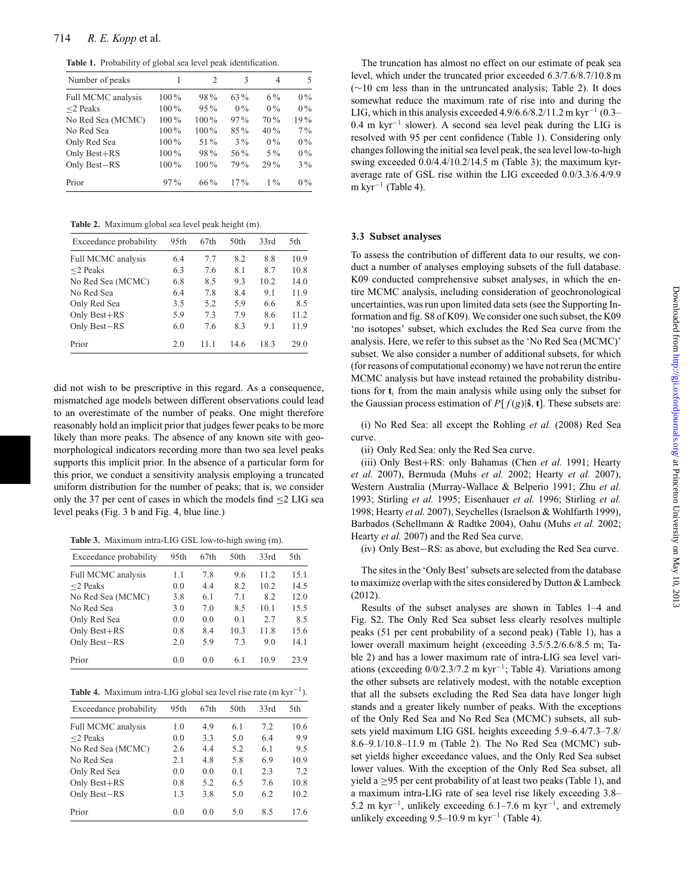**Table 1.** Probability of global sea level peak identification.

| Number of peaks    | 1       | $\mathfrak{D}$ | 3      | 4      | 5     |
|--------------------|---------|----------------|--------|--------|-------|
| Full MCMC analysis | $100\%$ | 98%            | 63 %   | $6\%$  | $0\%$ |
| $<$ 2 Peaks        | 100%    | $95\%$         | $0\%$  | $0\%$  | $0\%$ |
| No Red Sea (MCMC)  | 100%    | 100%           | 97%    | 70 %   | 19%   |
| No Red Sea         | 100%    | 100%           | $85\%$ | 40%    | $7\%$ |
| Only Red Sea       | 100%    | 51 %           | $3\%$  | $0\%$  | $0\%$ |
| Only Best+RS       | 100%    | 98%            | 56%    | $5\%$  | $0\%$ |
| Only Best-RS       | 100%    | $100\%$        | 79%    | $29\%$ | $3\%$ |
| Prior              | $97\%$  | $66\%$         | $17\%$ | $1\%$  | $0\%$ |

**Table 2.** Maximum global sea level peak height (m).

| Exceedance probability | 95th | 67th | 50th | 33rd | 5th  |
|------------------------|------|------|------|------|------|
| Full MCMC analysis     | 6.4  | 77   | 8.2  | 8.8  | 10.9 |
| $<$ 2 Peaks            | 6.3  | 7.6  | 8.1  | 8.7  | 10.8 |
| No Red Sea (MCMC)      | 6.8  | 8.5  | 9.3  | 10.2 | 14.0 |
| No Red Sea             | 6.4  | 7.8  | 8.4  | 9.1  | 11.9 |
| Only Red Sea           | 3.5  | 5.2  | 5.9  | 6.6  | 8.5  |
| Only Best+RS           | 5.9  | 7.3  | 79   | 8.6  | 11.2 |
| Only Best-RS           | 6.0  | 7.6  | 8.3  | 9.1  | 11.9 |
| Prior                  | 2.0  | 11 1 | 14.6 | 18.3 | 29.0 |

did not wish to be prescriptive in this regard. As a consequence, mismatched age models between different observations could lead to an overestimate of the number of peaks. One might therefore reasonably hold an implicit prior that judges fewer peaks to be more likely than more peaks. The absence of any known site with geomorphological indicators recording more than two sea level peaks supports this implicit prior. In the absence of a particular form for this prior, we conduct a sensitivity analysis employing a truncated uniform distribution for the number of peaks; that is, we consider only the 37 per cent of cases in which the models find  $\leq$  2 LIG sea level peaks (Fig. 3 b and Fig. 4, blue line.)

**Table 3.** Maximum intra-LIG GSL low-to-high swing (m).

| Exceedance probability | 95th | 67th | 50th           | 33rd | 5th  |
|------------------------|------|------|----------------|------|------|
| Full MCMC analysis     | 1.1  | 7.8  | 9.6            | 11.2 | 15.1 |
| $<$ 2 Peaks            | 0.0  | 4.4  | 8.2            | 10.2 | 14.5 |
| No Red Sea (MCMC)      | 3.8  | 6.1  | 7.1            | 8.2  | 12.0 |
| No Red Sea             | 3.0  | 7.0  | 8.5            | 10.1 | 15.5 |
| Only Red Sea           | 0.0  | 0.0  | 0 <sub>1</sub> | 27   | 8.5  |
| Only Best+RS           | 0.8  | 8.4  | 10.3           | 11.8 | 15.6 |
| Only Best-RS           | 2.0  | 5.9  | 7.3            | 9.0  | 14.1 |
| Prior                  | 0.0  | 0.0  | 6.1            | 10.9 | 23.9 |

|  | <b>Table 4.</b> Maximum intra-LIG global sea level rise rate $(m kyr^{-1})$ . |  |  |  |  |  |  |  |  |  |  |
|--|-------------------------------------------------------------------------------|--|--|--|--|--|--|--|--|--|--|
|--|-------------------------------------------------------------------------------|--|--|--|--|--|--|--|--|--|--|

| Exceedance probability | 95th | 67th | 50 <sub>th</sub> | 33rd | 5th  |
|------------------------|------|------|------------------|------|------|
| Full MCMC analysis     | 1.0  | 4.9  | 6.1              | 7.2  | 10.6 |
| $<$ 2 Peaks            | 0.0  | 3.3  | 5.0              | 6.4  | 9.9  |
| No Red Sea (MCMC)      | 2.6  | 4.4  | 5.2              | 6.1  | 9.5  |
| No Red Sea             | 2.1  | 4.8  | 5.8              | 6.9  | 10.9 |
| Only Red Sea           | 0.0  | 0.0  | 0.1              | 2.3  | 7.2  |
| Only Best+RS           | 0.8  | 5.2  | 6.5              | 7.6  | 10.8 |
| Only Best-RS           | 1.3  | 3.8  | 5.0              | 6.2  | 10.2 |
| Prior                  | 0.0  | 0.0  | 5.0              | 8.5  | 17.6 |

The truncation has almost no effect on our estimate of peak sea level, which under the truncated prior exceeded 6.3/7.6/8.7/10.8 m (∼10 cm less than in the untruncated analysis; Table 2). It does somewhat reduce the maximum rate of rise into and during the LIG, which in this analysis exceeded 4.9/6.6/8.2/11.2 m kyr<sup>-1</sup> (0.3– 0.4 m kyr−<sup>1</sup> slower). A second sea level peak during the LIG is resolved with 95 per cent confidence (Table 1). Considering only changes following the initial sea level peak, the sea level low-to-high swing exceeded 0.0/4.4/10.2/14.5 m (Table 3); the maximum kyraverage rate of GSL rise within the LIG exceeded 0.0/3.3/6.4/9.9 m kyr<sup> $-1$ </sup> (Table 4).

#### **3.3 Subset analyses**

To assess the contribution of different data to our results, we conduct a number of analyses employing subsets of the full database. K09 conducted comprehensive subset analyses, in which the entire MCMC analysis, including consideration of geochronological uncertainties, was run upon limited data sets (see the Supporting Information and fig. S8 of K09). We consider one such subset, the K09 'no isotopes' subset, which excludes the Red Sea curve from the analysis. Here, we refer to this subset as the 'No Red Sea (MCMC)' subset. We also consider a number of additional subsets, for which (for reasons of computational economy) we have not rerun the entire MCMC analysis but have instead retained the probability distributions for  $t_i$  from the main analysis while using only the subset for the Gaussian process estimation of  $P[f(g)|\hat{\mathbf{s}}, \mathbf{t}]$ . These subsets are:

(i) No Red Sea: all except the Rohling *et al.* (2008) Red Sea curve.

(ii) Only Red Sea: only the Red Sea curve.

(iii) Only Best+RS: only Bahamas (Chen *et al.* 1991; Hearty *et al.* 2007), Bermuda (Muhs *et al.* 2002; Hearty *et al.* 2007), Western Australia (Murray-Wallace & Belperio 1991; Zhu *et al.* 1993; Stirling *et al.* 1995; Eisenhauer *et al.* 1996; Stirling *et al.* 1998; Hearty *et al.* 2007), Seychelles (Israelson & Wohlfarth 1999), Barbados (Schellmann & Radtke 2004), Oahu (Muhs *et al.* 2002; Hearty *et al.* 2007) and the Red Sea curve.

(iv) Only Best−RS: as above, but excluding the Red Sea curve.

The sites in the 'Only Best' subsets are selected from the database to maximize overlap with the sites considered by Dutton & Lambeck (2012).

Results of the subset analyses are shown in Tables 1–4 and Fig. S2. The Only Red Sea subset less clearly resolves multiple peaks (51 per cent probability of a second peak) (Table 1), has a lower overall maximum height (exceeding 3.5/5.2/6.6/8.5 m; Table 2) and has a lower maximum rate of intra-LIG sea level variations (exceeding  $0/0/2.3/7.2$  m kyr<sup>-1</sup>; Table 4). Variations among the other subsets are relatively modest, with the notable exception that all the subsets excluding the Red Sea data have longer high stands and a greater likely number of peaks. With the exceptions of the Only Red Sea and No Red Sea (MCMC) subsets, all subsets yield maximum LIG GSL heights exceeding 5.9–6.4/7.3–7.8/ 8.6–9.1/10.8–11.9 m (Table 2). The No Red Sea (MCMC) subset yields higher exceedance values, and the Only Red Sea subset lower values. With the exception of the Only Red Sea subset, all yield a  $\geq$ 95 per cent probability of at least two peaks (Table 1), and a maximum intra-LIG rate of sea level rise likely exceeding 3.8– 5.2 m kyr<sup>-1</sup>, unlikely exceeding 6.1–7.6 m kyr<sup>-1</sup>, and extremely unlikely exceeding 9.5–10.9 m kyr<sup>-1</sup> (Table 4).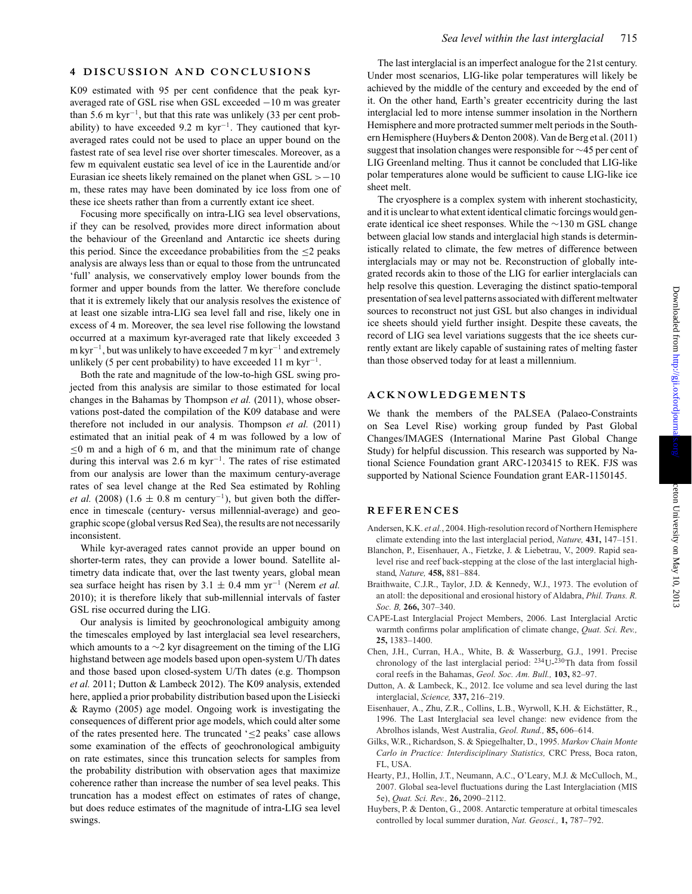#### **4 DISCUSSION AND CONCLUSIONS**

K09 estimated with 95 per cent confidence that the peak kyraveraged rate of GSL rise when GSL exceeded −10 m was greater than 5.6 m kyr−1, but that this rate was unlikely (33 per cent probability) to have exceeded 9.2 m kyr<sup>-1</sup>. They cautioned that kyraveraged rates could not be used to place an upper bound on the fastest rate of sea level rise over shorter timescales. Moreover, as a few m equivalent eustatic sea level of ice in the Laurentide and/or Eurasian ice sheets likely remained on the planet when GSL >−10 m, these rates may have been dominated by ice loss from one of these ice sheets rather than from a currently extant ice sheet.

Focusing more specifically on intra-LIG sea level observations, if they can be resolved, provides more direct information about the behaviour of the Greenland and Antarctic ice sheets during this period. Since the exceedance probabilities from the  $\leq$ 2 peaks analysis are always less than or equal to those from the untruncated 'full' analysis, we conservatively employ lower bounds from the former and upper bounds from the latter. We therefore conclude that it is extremely likely that our analysis resolves the existence of at least one sizable intra-LIG sea level fall and rise, likely one in excess of 4 m. Moreover, the sea level rise following the lowstand occurred at a maximum kyr-averaged rate that likely exceeded 3  $m kyr^{-1}$ , but was unlikely to have exceeded 7 m kyr<sup>-1</sup> and extremely unlikely (5 per cent probability) to have exceeded 11 m kyr<sup>-1</sup>.

Both the rate and magnitude of the low-to-high GSL swing projected from this analysis are similar to those estimated for local changes in the Bahamas by Thompson *et al.* (2011), whose observations post-dated the compilation of the K09 database and were therefore not included in our analysis. Thompson *et al.* (2011) estimated that an initial peak of 4 m was followed by a low of  $\leq 0$  m and a high of 6 m, and that the minimum rate of change during this interval was 2.6 m kyr<sup> $-1$ </sup>. The rates of rise estimated from our analysis are lower than the maximum century-average rates of sea level change at the Red Sea estimated by Rohling *et al.* (2008) (1.6  $\pm$  0.8 m century<sup>-1</sup>), but given both the difference in timescale (century- versus millennial-average) and geographic scope (global versus Red Sea), the results are not necessarily inconsistent.

While kyr-averaged rates cannot provide an upper bound on shorter-term rates, they can provide a lower bound. Satellite altimetry data indicate that, over the last twenty years, global mean sea surface height has risen by 3.1 ± 0.4 mm yr−<sup>1</sup> (Nerem *et al.* 2010); it is therefore likely that sub-millennial intervals of faster GSL rise occurred during the LIG.

Our analysis is limited by geochronological ambiguity among the timescales employed by last interglacial sea level researchers, which amounts to a ∼2 kyr disagreement on the timing of the LIG highstand between age models based upon open-system U/Th dates and those based upon closed-system U/Th dates (e.g. Thompson *et al.* 2011; Dutton & Lambeck 2012). The K09 analysis, extended here, applied a prior probability distribution based upon the Lisiecki & Raymo (2005) age model. Ongoing work is investigating the consequences of different prior age models, which could alter some of the rates presented here. The truncated '≤2 peaks' case allows some examination of the effects of geochronological ambiguity on rate estimates, since this truncation selects for samples from the probability distribution with observation ages that maximize coherence rather than increase the number of sea level peaks. This truncation has a modest effect on estimates of rates of change, but does reduce estimates of the magnitude of intra-LIG sea level swings.

The last interglacial is an imperfect analogue for the 21st century. Under most scenarios, LIG-like polar temperatures will likely be achieved by the middle of the century and exceeded by the end of it. On the other hand, Earth's greater eccentricity during the last interglacial led to more intense summer insolation in the Northern Hemisphere and more protracted summer melt periods in the Southern Hemisphere (Huybers & Denton 2008). Van de Berg et al. (2011) suggest that insolation changes were responsible for ∼45 per cent of LIG Greenland melting. Thus it cannot be concluded that LIG-like polar temperatures alone would be sufficient to cause LIG-like ice sheet melt.

The cryosphere is a complex system with inherent stochasticity, and it is unclear to what extent identical climatic forcings would generate identical ice sheet responses. While the ∼130 m GSL change between glacial low stands and interglacial high stands is deterministically related to climate, the few metres of difference between interglacials may or may not be. Reconstruction of globally integrated records akin to those of the LIG for earlier interglacials can help resolve this question. Leveraging the distinct spatio-temporal presentation of sea level patterns associated with different meltwater sources to reconstruct not just GSL but also changes in individual ice sheets should yield further insight. Despite these caveats, the record of LIG sea level variations suggests that the ice sheets currently extant are likely capable of sustaining rates of melting faster than those observed today for at least a millennium.

#### **ACKNOWLEDGEMENTS**

We thank the members of the PALSEA (Palaeo-Constraints on Sea Level Rise) working group funded by Past Global Changes/IMAGES (International Marine Past Global Change Study) for helpful discussion. This research was supported by National Science Foundation grant ARC-1203415 to REK. FJS was supported by National Science Foundation grant EAR-1150145.

## **REFERENCES**

- Andersen, K.K. *et al.*, 2004. High-resolution record of Northern Hemisphere climate extending into the last interglacial period, *Nature,* **431,** 147–151.
- Blanchon, P., Eisenhauer, A., Fietzke, J. & Liebetrau, V., 2009. Rapid sealevel rise and reef back-stepping at the close of the last interglacial highstand, *Nature,* **458,** 881–884.
- Braithwaite, C.J.R., Taylor, J.D. & Kennedy, W.J., 1973. The evolution of an atoll: the depositional and erosional history of Aldabra, *Phil. Trans. R. Soc. B,* **266,** 307–340.
- CAPE-Last Interglacial Project Members, 2006. Last Interglacial Arctic warmth confirms polar amplification of climate change, *Quat. Sci. Rev.,* **25,** 1383–1400.
- Chen, J.H., Curran, H.A., White, B. & Wasserburg, G.J., 1991. Precise chronology of the last interglacial period: 234U-230Th data from fossil coral reefs in the Bahamas, *Geol. Soc. Am. Bull.,* **103,** 82–97.
- Dutton, A. & Lambeck, K., 2012. Ice volume and sea level during the last interglacial, *Science,* **337,** 216–219.
- Eisenhauer, A., Zhu, Z.R., Collins, L.B., Wyrwoll, K.H. & Eichstätter, R., 1996. The Last Interglacial sea level change: new evidence from the Abrolhos islands, West Australia, *Geol. Rund.,* **85,** 606–614.
- Gilks, W.R., Richardson, S. & Spiegelhalter, D., 1995. *Markov Chain Monte Carlo in Practice: Interdisciplinary Statistics,* CRC Press, Boca raton, FL, USA.
- Hearty, P.J., Hollin, J.T., Neumann, A.C., O'Leary, M.J. & McCulloch, M., 2007. Global sea-level fluctuations during the Last Interglaciation (MIS 5e), *Quat. Sci. Rev.,* **26,** 2090–2112.
- Huybers, P. & Denton, G., 2008. Antarctic temperature at orbital timescales controlled by local summer duration, *Nat. Geosci.,* **1,** 787–792.